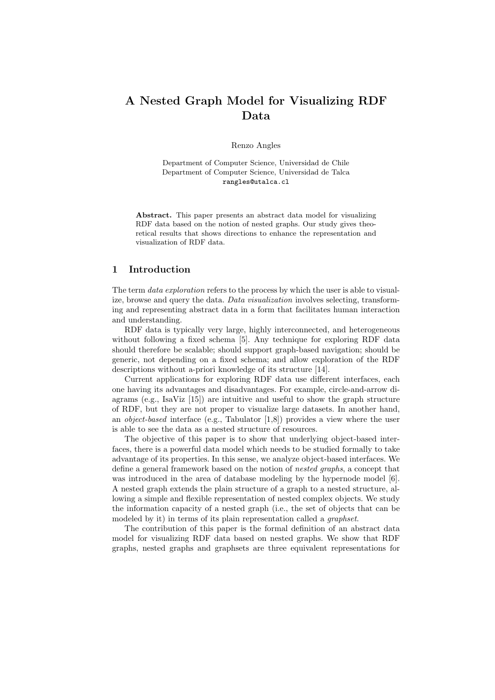# A Nested Graph Model for Visualizing RDF Data

Renzo Angles

Department of Computer Science, Universidad de Chile Department of Computer Science, Universidad de Talca rangles@utalca.cl

Abstract. This paper presents an abstract data model for visualizing RDF data based on the notion of nested graphs. Our study gives theoretical results that shows directions to enhance the representation and visualization of RDF data.

### 1 Introduction

The term *data exploration* refers to the process by which the user is able to visualize, browse and query the data. Data visualization involves selecting, transforming and representing abstract data in a form that facilitates human interaction and understanding.

RDF data is typically very large, highly interconnected, and heterogeneous without following a fixed schema [5]. Any technique for exploring RDF data should therefore be scalable; should support graph-based navigation; should be generic, not depending on a fixed schema; and allow exploration of the RDF descriptions without a-priori knowledge of its structure [14].

Current applications for exploring RDF data use different interfaces, each one having its advantages and disadvantages. For example, circle-and-arrow diagrams (e.g.,  $IsaViz$  [15]) are intuitive and useful to show the graph structure of RDF, but they are not proper to visualize large datasets. In another hand, an *object-based* interface (e.g., Tabulator  $(1,8)$ ) provides a view where the user is able to see the data as a nested structure of resources.

The objective of this paper is to show that underlying object-based interfaces, there is a powerful data model which needs to be studied formally to take advantage of its properties. In this sense, we analyze object-based interfaces. We define a general framework based on the notion of nested graphs, a concept that was introduced in the area of database modeling by the hypernode model [6]. A nested graph extends the plain structure of a graph to a nested structure, allowing a simple and flexible representation of nested complex objects. We study the information capacity of a nested graph (i.e., the set of objects that can be modeled by it) in terms of its plain representation called a *graphset*.

The contribution of this paper is the formal definition of an abstract data model for visualizing RDF data based on nested graphs. We show that RDF graphs, nested graphs and graphsets are three equivalent representations for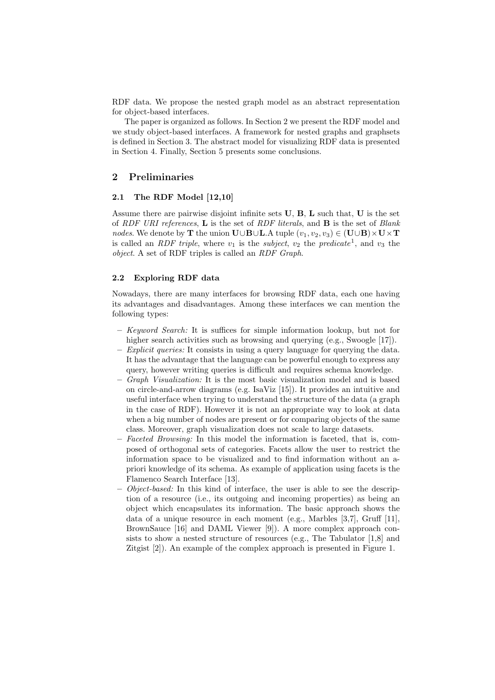RDF data. We propose the nested graph model as an abstract representation for object-based interfaces.

The paper is organized as follows. In Section 2 we present the RDF model and we study object-based interfaces. A framework for nested graphs and graphsets is defined in Section 3. The abstract model for visualizing RDF data is presented in Section 4. Finally, Section 5 presents some conclusions.

# 2 Preliminaries

## 2.1 The RDF Model [12,10]

Assume there are pairwise disjoint infinite sets  $U$ ,  $B$ ,  $L$  such that,  $U$  is the set of RDF URI references, **L** is the set of RDF literals, and **B** is the set of Blank nodes. We denote by T the union  $\mathbf{U}\cup\mathbf{B}\cup\mathbf{L}$ . A tuple  $(v_1, v_2, v_3) \in (\mathbf{U}\cup\mathbf{B})\times\mathbf{U}\times\mathbf{T}$ is called an *RDF triple*, where  $v_1$  is the *subject*,  $v_2$  the *predicate*<sup>1</sup>, and  $v_3$  the object. A set of RDF triples is called an RDF Graph.

## 2.2 Exploring RDF data

Nowadays, there are many interfaces for browsing RDF data, each one having its advantages and disadvantages. Among these interfaces we can mention the following types:

- Keyword Search: It is suffices for simple information lookup, but not for higher search activities such as browsing and querying (e.g., Swoogle [17]).
- $-$  *Explicit queries:* It consists in using a query language for querying the data. It has the advantage that the language can be powerful enough to express any query, however writing queries is difficult and requires schema knowledge.
- Graph Visualization: It is the most basic visualization model and is based on circle-and-arrow diagrams (e.g. IsaViz [15]). It provides an intuitive and useful interface when trying to understand the structure of the data (a graph in the case of RDF). However it is not an appropriate way to look at data when a big number of nodes are present or for comparing objects of the same class. Moreover, graph visualization does not scale to large datasets.
- Faceted Browsing: In this model the information is faceted, that is, composed of orthogonal sets of categories. Facets allow the user to restrict the information space to be visualized and to find information without an apriori knowledge of its schema. As example of application using facets is the Flamenco Search Interface [13].
- $-$  *Object-based:* In this kind of interface, the user is able to see the description of a resource (i.e., its outgoing and incoming properties) as being an object which encapsulates its information. The basic approach shows the data of a unique resource in each moment (e.g., Marbles [3,7], Gruff [11], BrownSauce [16] and DAML Viewer [9]). A more complex approach consists to show a nested structure of resources (e.g., The Tabulator  $[1,8]$  and Zitgist [2]). An example of the complex approach is presented in Figure 1.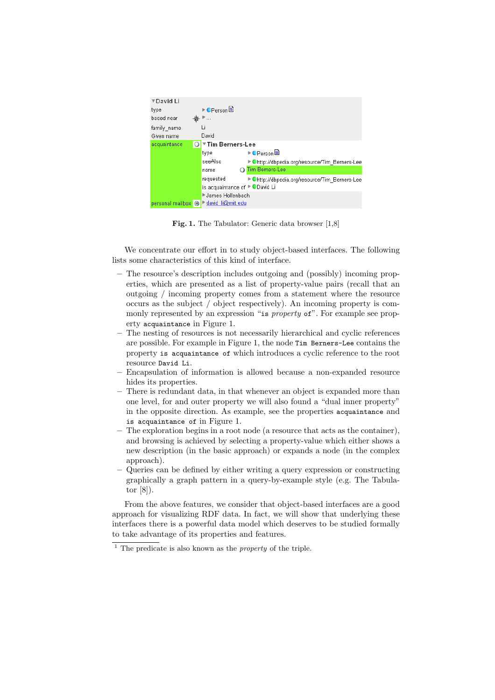| ▼David Li        |                               |                                                |
|------------------|-------------------------------|------------------------------------------------|
| type             | ▶●Person                      |                                                |
| based near       | $\cdots$                      |                                                |
| family name      | Li                            |                                                |
| Given name       | David                         |                                                |
| acquaintance     | ▼Tim Berners-Lee              |                                                |
|                  | type                          | ▶●Person                                       |
|                  | seeAlso                       | ▶ Ohttp://dbpedia.org/resource/Tim Berners-Lee |
|                  | name                          | Tim Berners-Lee                                |
|                  | requested                     | ▶ Ohttp://dbpedia.org/resource/Tim Berners-Lee |
|                  | is acquaintance of ▶●David Li |                                                |
|                  | ▶James Hollenbach             |                                                |
| personal mailbox | david li@mit.edu              |                                                |

Fig. 1. The Tabulator: Generic data browser [1,8]

We concentrate our effort in to study object-based interfaces. The following lists some characteristics of this kind of interface.

- The resource's description includes outgoing and (possibly) incoming properties, which are presented as a list of property-value pairs (recall that an outgoing / incoming property comes from a statement where the resource occurs as the subject / object respectively). An incoming property is commonly represented by an expression "is *property* of". For example see property acquaintance in Figure 1.
- The nesting of resources is not necessarily hierarchical and cyclic references are possible. For example in Figure 1, the node Tim Berners-Lee contains the property is acquaintance of which introduces a cyclic reference to the root resource David Li.
- Encapsulation of information is allowed because a non-expanded resource hides its properties.
- There is redundant data, in that whenever an object is expanded more than one level, for and outer property we will also found a "dual inner property" in the opposite direction. As example, see the properties acquaintance and is acquaintance of in Figure 1.
- The exploration begins in a root node (a resource that acts as the container), and browsing is achieved by selecting a property-value which either shows a new description (in the basic approach) or expands a node (in the complex approach).
- Queries can be defined by either writing a query expression or constructing graphically a graph pattern in a query-by-example style (e.g. The Tabulator [8]).

From the above features, we consider that object-based interfaces are a good approach for visualizing RDF data. In fact, we will show that underlying these interfaces there is a powerful data model which deserves to be studied formally to take advantage of its properties and features.

<sup>&</sup>lt;sup>1</sup> The predicate is also known as the *property* of the triple.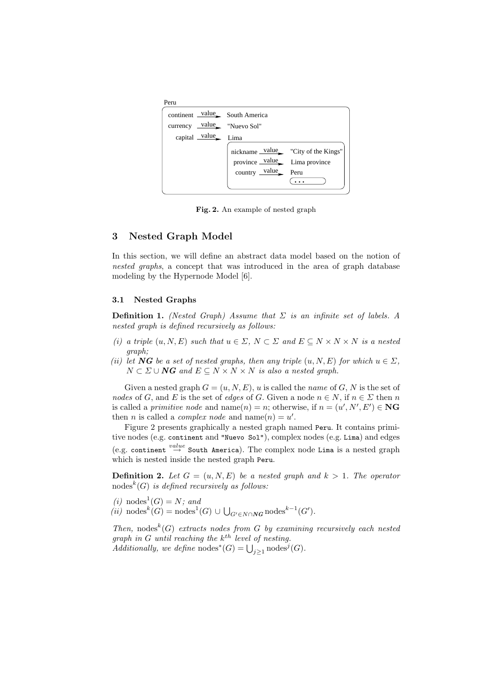| Peru                                            |                                        |                                    |
|-------------------------------------------------|----------------------------------------|------------------------------------|
| continent value South America                   |                                        |                                    |
| currency value "Nuevo Sol"                      |                                        |                                    |
| capital $\frac{\text{value}}{\text{time}}$ Lima |                                        |                                    |
|                                                 |                                        | nickname value "City of the Kings" |
|                                                 | province value Lima province           |                                    |
|                                                 | country $\frac{\text{value}}{\ }$ Peru |                                    |
|                                                 |                                        |                                    |

Fig. 2. An example of nested graph

## 3 Nested Graph Model

In this section, we will define an abstract data model based on the notion of nested graphs, a concept that was introduced in the area of graph database modeling by the Hypernode Model [6].

#### 3.1 Nested Graphs

**Definition 1.** (Nested Graph) Assume that  $\Sigma$  is an infinite set of labels. A nested graph is defined recursively as follows:

- (i) a triple  $(u, N, E)$  such that  $u \in \Sigma$ ,  $N \subset \Sigma$  and  $E \subseteq N \times N \times N$  is a nested graph;
- (ii) let NG be a set of nested graphs, then any triple  $(u, N, E)$  for which  $u \in \Sigma$ ,  $N \subset \Sigma \cup \mathbb{N}$  and  $E \subseteq N \times N \times N$  is also a nested graph.

Given a nested graph  $G = (u, N, E)$ , u is called the *name* of G, N is the set of nodes of G, and E is the set of edges of G. Given a node  $n \in N$ , if  $n \in \Sigma$  then n is called a *primitive node* and name $(n) = n$ ; otherwise, if  $n = (u', N', E') \in \mathbb{N}$ G then *n* is called a *complex node* and  $name(n) = u'$ .

Figure 2 presents graphically a nested graph named Peru. It contains primitive nodes (e.g. continent and "Nuevo Sol"), complex nodes (e.g. Lima) and edges (e.g. continent  $\stackrel{value}{\rightarrow}$  South America). The complex node Lima is a nested graph which is nested inside the nested graph Peru.

**Definition 2.** Let  $G = (u, N, E)$  be a nested graph and  $k > 1$ . The operator  $\operatorname{nodes}^k(G)$  is defined recursively as follows:

(*i*) nodes<sup>1</sup>(*G*) = *N*; and

 $(ii) \text{ nodes}^k(G) = \text{nodes}^1(G) \cup \bigcup_{G' \in N \cap \mathbb{N}G} \text{nodes}^{k-1}(G').$ 

Then, nodes<sup>k</sup>(G) extracts nodes from G by examining recursively each nested graph in  $G$  until reaching the  $k^{th}$  level of nesting. Additionally, we define  $\mathrm{nodes}^*(G) = \bigcup_{j \geq 1} \mathrm{nodes}^j(G)$ .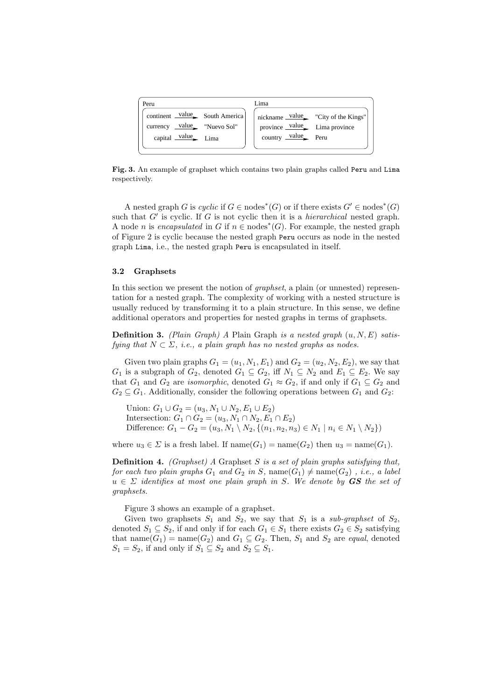| Peru                                            | Lima                         |                                             |
|-------------------------------------------------|------------------------------|---------------------------------------------|
| continent value South America                   |                              | nickname $\text{value}$ "City of the Kings" |
| currency $\angle$ value "Nuevo Sol"             | province value Lima province |                                             |
| capital $\frac{\text{value}}{\text{time}}$ Lima | country $value$ Peru         |                                             |
|                                                 |                              |                                             |

Fig. 3. An example of graphset which contains two plain graphs called Peru and Lima respectively.

A nested graph G is cyclic if  $G \in \text{nodes}^*(G)$  or if there exists  $G' \in \text{nodes}^*(G)$ such that  $G'$  is cyclic. If  $G$  is not cyclic then it is a *hierarchical* nested graph. A node *n* is encapsulated in G if  $n \in \text{nodes}^*(G)$ . For example, the nested graph of Figure 2 is cyclic because the nested graph Peru occurs as node in the nested graph Lima, i.e., the nested graph Peru is encapsulated in itself.

#### 3.2 Graphsets

In this section we present the notion of graphset, a plain (or unnested) representation for a nested graph. The complexity of working with a nested structure is usually reduced by transforming it to a plain structure. In this sense, we define additional operators and properties for nested graphs in terms of graphsets.

**Definition 3.** (Plain Graph) A Plain Graph is a nested graph  $(u, N, E)$  satisfying that  $N \subset \Sigma$ , i.e., a plain graph has no nested graphs as nodes.

Given two plain graphs  $G_1 = (u_1, N_1, E_1)$  and  $G_2 = (u_2, N_2, E_2)$ , we say that  $G_1$  is a subgraph of  $G_2$ , denoted  $G_1 \subseteq G_2$ , iff  $N_1 \subseteq N_2$  and  $E_1 \subseteq E_2$ . We say that  $G_1$  and  $G_2$  are *isomorphic*, denoted  $G_1 \approx G_2$ , if and only if  $G_1 \subseteq G_2$  and  $G_2 \subseteq G_1$ . Additionally, consider the following operations between  $G_1$  and  $G_2$ :

Union:  $G_1 \cup G_2 = (u_3, N_1 \cup N_2, E_1 \cup E_2)$ Intersection:  $G_1 \cap G_2 = (u_3, N_1 \cap N_2, E_1 \cap E_2)$ Difference:  $G_1 - G_2 = (u_3, N_1 \setminus N_2, \{(n_1, n_2, n_3) \in N_1 \mid n_i \in N_1 \setminus N_2\})$ 

where  $u_3 \in \Sigma$  is a fresh label. If  $name(G_1) = name(G_2)$  then  $u_3 = name(G_1)$ .

**Definition 4.** (Graphset) A Graphset S is a set of plain graphs satisfying that, for each two plain graphs  $G_1$  and  $G_2$  in S, name( $G_1$ )  $\neq$  name( $G_2$ ), i.e., a label  $u \in \Sigma$  identifies at most one plain graph in S. We denote by **GS** the set of graphsets.

Figure 3 shows an example of a graphset.

Given two graphsets  $S_1$  and  $S_2$ , we say that  $S_1$  is a sub-graphset of  $S_2$ , denoted  $S_1 \subseteq S_2$ , if and only if for each  $G_1 \in S_1$  there exists  $G_2 \in S_2$  satisfying that name $(G_1)$  = name $(G_2)$  and  $G_1 \subseteq G_2$ . Then,  $S_1$  and  $S_2$  are *equal*, denoted  $S_1 = S_2$ , if and only if  $S_1 \subseteq S_2$  and  $S_2 \subseteq S_1$ .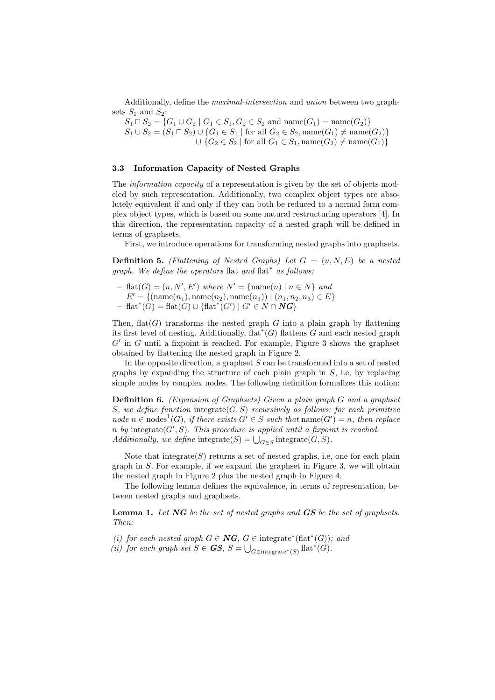Additionally, define the maximal-intersection and union between two graphsets  $S_1$  and  $S_2$ :

 $S_1 \sqcap S_2 = \{G_1 \cup G_2 \mid G_1 \in S_1, G_2 \in S_2 \text{ and } \text{name}(G_1) = \text{name}(G_2)\}\$  $S_1 \cup S_2 = (S_1 \sqcap S_2) \cup \{G_1 \in S_1 \mid \text{for all } G_2 \in S_2, \text{name}(G_1) \neq \text{name}(G_2)\}\$  $\cup$  { $G_2 \in S_2$  | for all  $G_1 \in S_1$ , name $(G_2) \neq \text{name}(G_1)$ }

## 3.3 Information Capacity of Nested Graphs

The *information capacity* of a representation is given by the set of objects modeled by such representation. Additionally, two complex object types are absolutely equivalent if and only if they can both be reduced to a normal form complex object types, which is based on some natural restructuring operators [4]. In this direction, the representation capacity of a nested graph will be defined in terms of graphsets.

First, we introduce operations for transforming nested graphs into graphsets.

**Definition 5.** (Flattening of Nested Graphs) Let  $G = (u, N, E)$  be a nested graph. We define the operators flat and flat<sup>\*</sup> as follows:

 $-$  flat $(G) = (u, N', E')$  where  $N' = \{name(n) | n \in N\}$  and  $E' = \{(\text{name}(n_1), \text{name}(n_2), \text{name}(n_3)) | (n_1, n_2, n_3) \in E\}$  $-$  flat<sup>\*</sup>( $G$ ) = flat( $G$ )  $\cup$  {flat<sup>\*</sup>( $G'$ ) |  $G' \in N \cap \mathbb{N}$ 

Then,  $\text{flat}(G)$  transforms the nested graph G into a plain graph by flattening its first level of nesting. Additionally,  $\text{flat}^*(G)$  flattens G and each nested graph  $G'$  in  $G$  until a fixpoint is reached. For example, Figure 3 shows the graphset obtained by flattening the nested graph in Figure 2.

In the opposite direction, a graphset  $S$  can be transformed into a set of nested graphs by expanding the structure of each plain graph in  $S$ , i.e., by replacing simple nodes by complex nodes. The following definition formalizes this notion:

Definition 6. (Expansion of Graphsets) Given a plain graph G and a graphset S, we define function integrate  $(G, S)$  recursively as follows: for each primitive node  $n \in \text{nodes}^1(G)$ , if there exists  $G' \in S$  such that  $\text{name}(G') = n$ , then replace n by integrate $(G', S)$ . This procedure is applied until a fixpoint is reached. Additionally, we define integrate(S) =  $\bigcup_{G \in S}$  integrate(G, S).

Note that integrate $(S)$  returns a set of nested graphs, i.e, one for each plain graph in S. For example, if we expand the graphset in Figure 3, we will obtain the nested graph in Figure 2 plus the nested graph in Figure 4.

The following lemma defines the equivalence, in terms of representation, between nested graphs and graphsets.

**Lemma 1.** Let  $NG$  be the set of nested graphs and  $GS$  be the set of graphsets. Then:

(i) for each nested graph  $G \in \mathbf{NG}, G \in \text{integrate}^*(\text{flat}^*(G))$ ; and

(ii) for each graph set  $S \in \mathbf{GS}$ ,  $S = \bigcup_{G \in \text{integrate}^*(S)} \text{flat}^*(G)$ .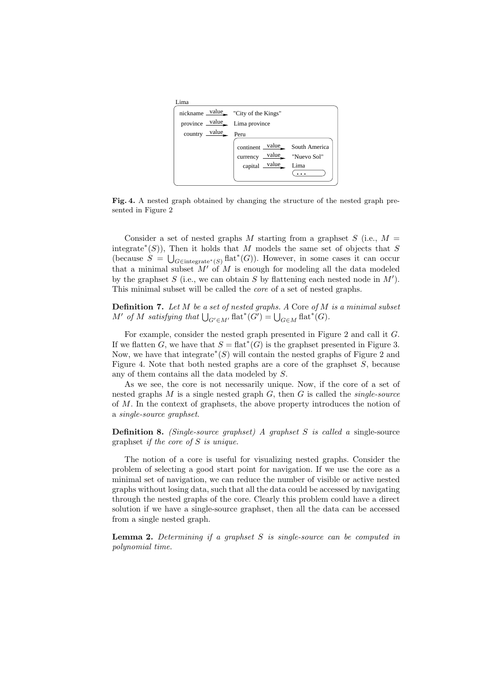| continent value South America                  |                                                                                                                                             |  |
|------------------------------------------------|---------------------------------------------------------------------------------------------------------------------------------------------|--|
| currency $\frac{\text{value}}{\ }$ "Nuevo Sol" |                                                                                                                                             |  |
|                                                |                                                                                                                                             |  |
|                                                |                                                                                                                                             |  |
|                                                | nickname value "City of the Kings"<br>province value Lima province<br>country $\frac{\text{value}}{\text{Peru}}$ Peru<br>capital value Lima |  |

Fig. 4. A nested graph obtained by changing the structure of the nested graph presented in Figure 2

Consider a set of nested graphs M starting from a graphset  $S$  (i.e.,  $M =$ integrate<sup>\*</sup>(S)), Then it holds that M models the same set of objects that S (because  $S = \bigcup_{G \in \text{integerate}^*(S)} \text{flat}^*(G)$ ). However, in some cases it can occur that a minimal subset  $M'$  of M is enough for modeling all the data modeled by the graphset  $S$  (i.e., we can obtain  $S$  by flattening each nested node in  $M'$ ). This minimal subset will be called the *core* of a set of nested graphs.

**Definition 7.** Let  $M$  be a set of nested graphs. A Core of  $M$  is a minimal subset M' of M satisfying that  $\bigcup_{G' \in M'} \text{flat}^*(G') = \bigcup_{G \in M} \text{flat}^*(G)$ .

For example, consider the nested graph presented in Figure 2 and call it G. If we flatten G, we have that  $S = \text{flat}^*(G)$  is the graphset presented in Figure 3. Now, we have that integrate<sup>\*</sup>( $S$ ) will contain the nested graphs of Figure 2 and Figure 4. Note that both nested graphs are a core of the graphset  $S$ , because any of them contains all the data modeled by S.

As we see, the core is not necessarily unique. Now, if the core of a set of nested graphs  $M$  is a single nested graph  $G$ , then  $G$  is called the *single-source* of M. In the context of graphsets, the above property introduces the notion of a single-source graphset.

**Definition 8.** (Single-source graphset) A graphset S is called a single-source graphset if the core of S is unique.

The notion of a core is useful for visualizing nested graphs. Consider the problem of selecting a good start point for navigation. If we use the core as a minimal set of navigation, we can reduce the number of visible or active nested graphs without losing data, such that all the data could be accessed by navigating through the nested graphs of the core. Clearly this problem could have a direct solution if we have a single-source graphset, then all the data can be accessed from a single nested graph.

**Lemma 2.** Determining if a graphset  $S$  is single-source can be computed in polynomial time.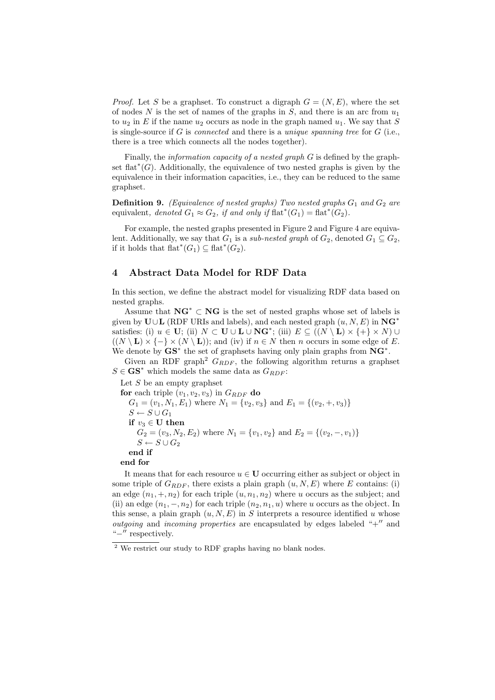*Proof.* Let S be a graphset. To construct a digraph  $G = (N, E)$ , where the set of nodes N is the set of names of the graphs in  $S$ , and there is an arc from  $u_1$ to  $u_2$  in E if the name  $u_2$  occurs as node in the graph named  $u_1$ . We say that S is single-source if  $G$  is *connected* and there is a *unique spanning tree* for  $G$  (i.e., there is a tree which connects all the nodes together).

Finally, the information capacity of a nested graph G is defined by the graphset flat<sup> $*(G)$ </sup>. Additionally, the equivalence of two nested graphs is given by the equivalence in their information capacities, i.e., they can be reduced to the same graphset.

**Definition 9.** (Equivalence of nested graphs) Two nested graphs  $G_1$  and  $G_2$  are equivalent, denoted  $G_1 \approx G_2$ , if and only if flat<sup>\*</sup>( $G_1$ ) = flat<sup>\*</sup>( $G_2$ ).

For example, the nested graphs presented in Figure 2 and Figure 4 are equivalent. Additionally, we say that  $G_1$  is a sub-nested graph of  $G_2$ , denoted  $G_1 \subseteq G_2$ , if it holds that  $\text{flat}^*(G_1) \subseteq \text{flat}^*(G_2)$ .

# 4 Abstract Data Model for RDF Data

In this section, we define the abstract model for visualizing RDF data based on nested graphs.

Assume that  $\mathbf{NG}^* \subset \mathbf{NG}$  is the set of nested graphs whose set of labels is given by  $U \cup L$  (RDF URIs and labels), and each nested graph  $(u, N, E)$  in  $\mathbf{NG}^*$ satisfies: (i)  $u \in U$ ; (ii)  $N \subset U \cup L \cup NG^*$ ; (iii)  $E \subseteq ((N \setminus L) \times \{+\} \times N) \cup$  $((N \setminus L) \times \{-\} \times (N \setminus L))$ ; and (iv) if  $n \in N$  then n occurs in some edge of E. We denote by  $\mathbf{G}\mathbf{S}^*$  the set of graphsets having only plain graphs from  $\mathbf{N}\mathbf{G}^*$ .

Given an RDF graph<sup>2</sup>  $G_{RDF}$ , the following algorithm returns a graphset  $S \in \mathbf{GS}^*$  which models the same data as  $G_{RDF}$ :

Let  $S$  be an empty graphset

for each triple  $(v_1, v_2, v_3)$  in  $G_{RDF}$  do  $G_1 = (v_1, N_1, E_1)$  where  $N_1 = \{v_2, v_3\}$  and  $E_1 = \{(v_2, +, v_3)\}$  $S \leftarrow S \cup G_1$ if  $v_3 \in U$  then  $G_2 = (v_3, N_2, E_2)$  where  $N_1 = \{v_1, v_2\}$  and  $E_2 = \{(v_2, -, v_1)\}$  $S \leftarrow S \cup G_2$ end if end for

It means that for each resource  $u \in U$  occurring either as subject or object in some triple of  $G_{RDF}$ , there exists a plain graph  $(u, N, E)$  where E contains: (i) an edge  $(n_1, +, n_2)$  for each triple  $(u, n_1, n_2)$  where u occurs as the subject; and (ii) an edge  $(n_1, -, n_2)$  for each triple  $(n_2, n_1, u)$  where u occurs as the object. In this sense, a plain graph  $(u, N, E)$  in S interprets a resource identified u whose *outgoing* and *incoming properties* are encapsulated by edges labeled " $+$ " and "−′′ respectively.

<sup>2</sup> We restrict our study to RDF graphs having no blank nodes.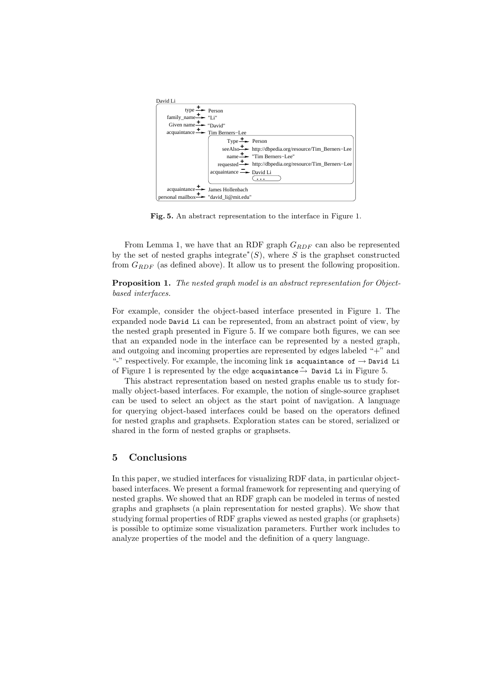| David Li                                                                               |
|----------------------------------------------------------------------------------------|
| type $\stackrel{+}{\longrightarrow}$ Person                                            |
| $family\_name \rightarrow "Li"$                                                        |
| Given name $\rightarrow$ "David"                                                       |
| $acquaintance \rightarrow \text{Time Berners–Lee}$                                     |
| Type $\stackrel{+}{\longrightarrow}$ Person                                            |
| seeAlso <b>+</b> http://dbpedia.org/resource/Tim_Berners-Lee                           |
| name $\stackrel{+}{\Rightarrow}$ "Tim Berners-Lee"                                     |
| requested $\stackrel{\text{+}}{\text{--}}$ http://dbpedia.org/resource/Tim_Berners-Lee |
| $acquaintance \rightarrow$ David Li                                                    |
|                                                                                        |
| $acquaintance \rightarrow \text{James Hollenbach}$                                     |
| personal mailbox $\rightarrow$ "david_li@mit.edu"                                      |

Fig. 5. An abstract representation to the interface in Figure 1.

From Lemma 1, we have that an RDF graph  $G_{RDF}$  can also be represented by the set of nested graphs integrate<sup>\*</sup>(S), where S is the graphset constructed from  $G_{RDF}$  (as defined above). It allow us to present the following proposition.

Proposition 1. The nested graph model is an abstract representation for Objectbased interfaces.

For example, consider the object-based interface presented in Figure 1. The expanded node David Li can be represented, from an abstract point of view, by the nested graph presented in Figure 5. If we compare both figures, we can see that an expanded node in the interface can be represented by a nested graph, and outgoing and incoming properties are represented by edges labeled "+" and "-" respectively. For example, the incoming link is acquaintance of  $\rightarrow$  David Li of Figure 1 is represented by the edge acquaintance $\rightarrow$  David Li in Figure 5.

This abstract representation based on nested graphs enable us to study formally object-based interfaces. For example, the notion of single-source graphset can be used to select an object as the start point of navigation. A language for querying object-based interfaces could be based on the operators defined for nested graphs and graphsets. Exploration states can be stored, serialized or shared in the form of nested graphs or graphsets.

## 5 Conclusions

In this paper, we studied interfaces for visualizing RDF data, in particular objectbased interfaces. We present a formal framework for representing and querying of nested graphs. We showed that an RDF graph can be modeled in terms of nested graphs and graphsets (a plain representation for nested graphs). We show that studying formal properties of RDF graphs viewed as nested graphs (or graphsets) is possible to optimize some visualization parameters. Further work includes to analyze properties of the model and the definition of a query language.